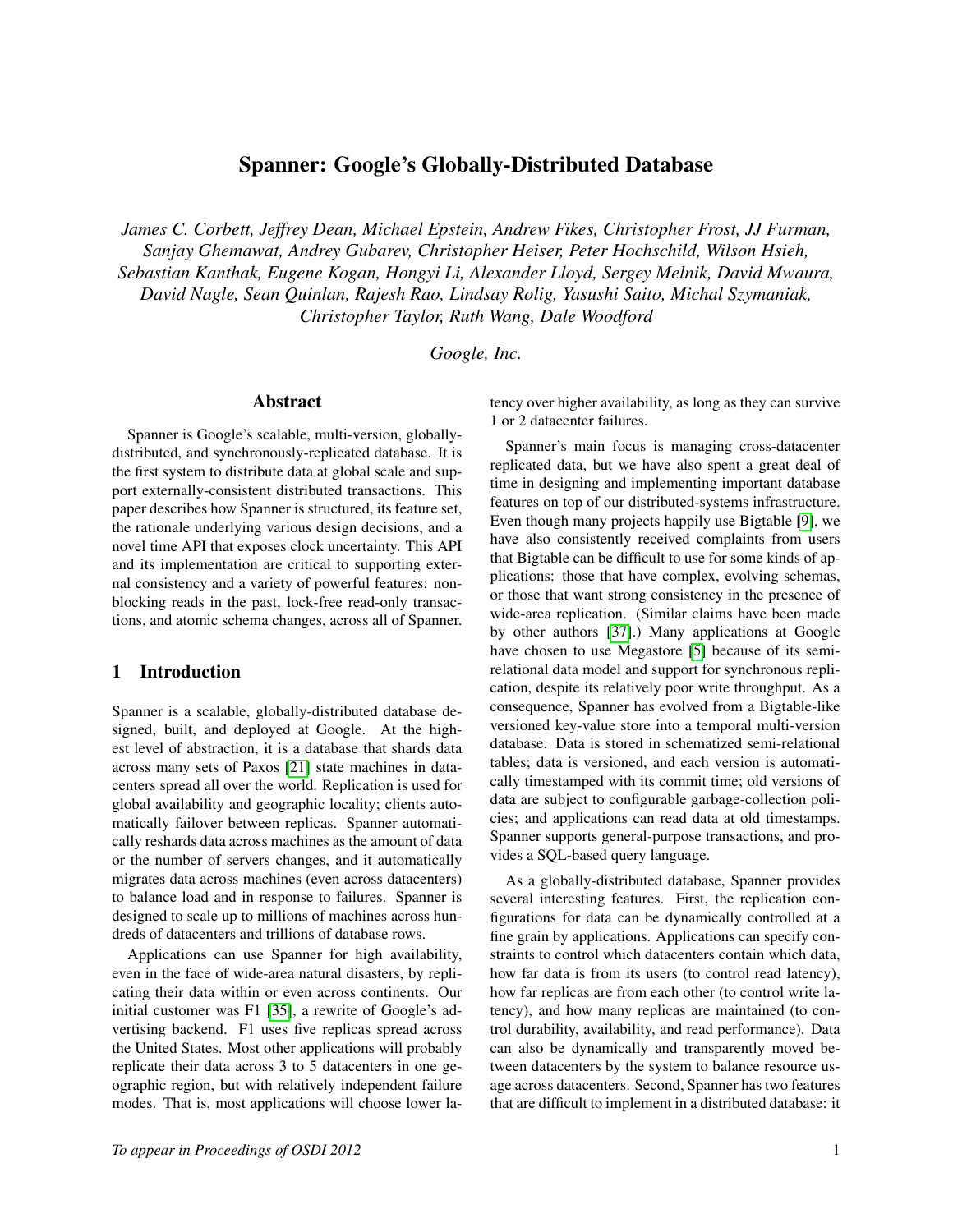# Spanner: Google's Globally-Distributed Database

*James C. Corbett, Jeffrey Dean, Michael Epstein, Andrew Fikes, Christopher Frost, JJ Furman, Sanjay Ghemawat, Andrey Gubarev, Christopher Heiser, Peter Hochschild, Wilson Hsieh, Sebastian Kanthak, Eugene Kogan, Hongyi Li, Alexander Lloyd, Sergey Melnik, David Mwaura, David Nagle, Sean Quinlan, Rajesh Rao, Lindsay Rolig, Yasushi Saito, Michal Szymaniak, Christopher Taylor, Ruth Wang, Dale Woodford*

*Google, Inc.*

# Abstract

Spanner is Google's scalable, multi-version, globallydistributed, and synchronously-replicated database. It is the first system to distribute data at global scale and support externally-consistent distributed transactions. This paper describes how Spanner is structured, its feature set, the rationale underlying various design decisions, and a novel time API that exposes clock uncertainty. This API and its implementation are critical to supporting external consistency and a variety of powerful features: nonblocking reads in the past, lock-free read-only transactions, and atomic schema changes, across all of Spanner.

### 1 Introduction

Spanner is a scalable, globally-distributed database designed, built, and deployed at Google. At the highest level of abstraction, it is a database that shards data across many sets of Paxos [\[21\]](#page-13-0) state machines in datacenters spread all over the world. Replication is used for global availability and geographic locality; clients automatically failover between replicas. Spanner automatically reshards data across machines as the amount of data or the number of servers changes, and it automatically migrates data across machines (even across datacenters) to balance load and in response to failures. Spanner is designed to scale up to millions of machines across hundreds of datacenters and trillions of database rows.

Applications can use Spanner for high availability, even in the face of wide-area natural disasters, by replicating their data within or even across continents. Our initial customer was F1 [\[35\]](#page-13-1), a rewrite of Google's advertising backend. F1 uses five replicas spread across the United States. Most other applications will probably replicate their data across 3 to 5 datacenters in one geographic region, but with relatively independent failure modes. That is, most applications will choose lower latency over higher availability, as long as they can survive 1 or 2 datacenter failures.

Spanner's main focus is managing cross-datacenter replicated data, but we have also spent a great deal of time in designing and implementing important database features on top of our distributed-systems infrastructure. Even though many projects happily use Bigtable [\[9\]](#page-12-0), we have also consistently received complaints from users that Bigtable can be difficult to use for some kinds of applications: those that have complex, evolving schemas, or those that want strong consistency in the presence of wide-area replication. (Similar claims have been made by other authors [\[37\]](#page-13-2).) Many applications at Google have chosen to use Megastore [\[5\]](#page-12-1) because of its semirelational data model and support for synchronous replication, despite its relatively poor write throughput. As a consequence, Spanner has evolved from a Bigtable-like versioned key-value store into a temporal multi-version database. Data is stored in schematized semi-relational tables; data is versioned, and each version is automatically timestamped with its commit time; old versions of data are subject to configurable garbage-collection policies; and applications can read data at old timestamps. Spanner supports general-purpose transactions, and provides a SQL-based query language.

As a globally-distributed database, Spanner provides several interesting features. First, the replication configurations for data can be dynamically controlled at a fine grain by applications. Applications can specify constraints to control which datacenters contain which data, how far data is from its users (to control read latency), how far replicas are from each other (to control write latency), and how many replicas are maintained (to control durability, availability, and read performance). Data can also be dynamically and transparently moved between datacenters by the system to balance resource usage across datacenters. Second, Spanner has two features that are difficult to implement in a distributed database: it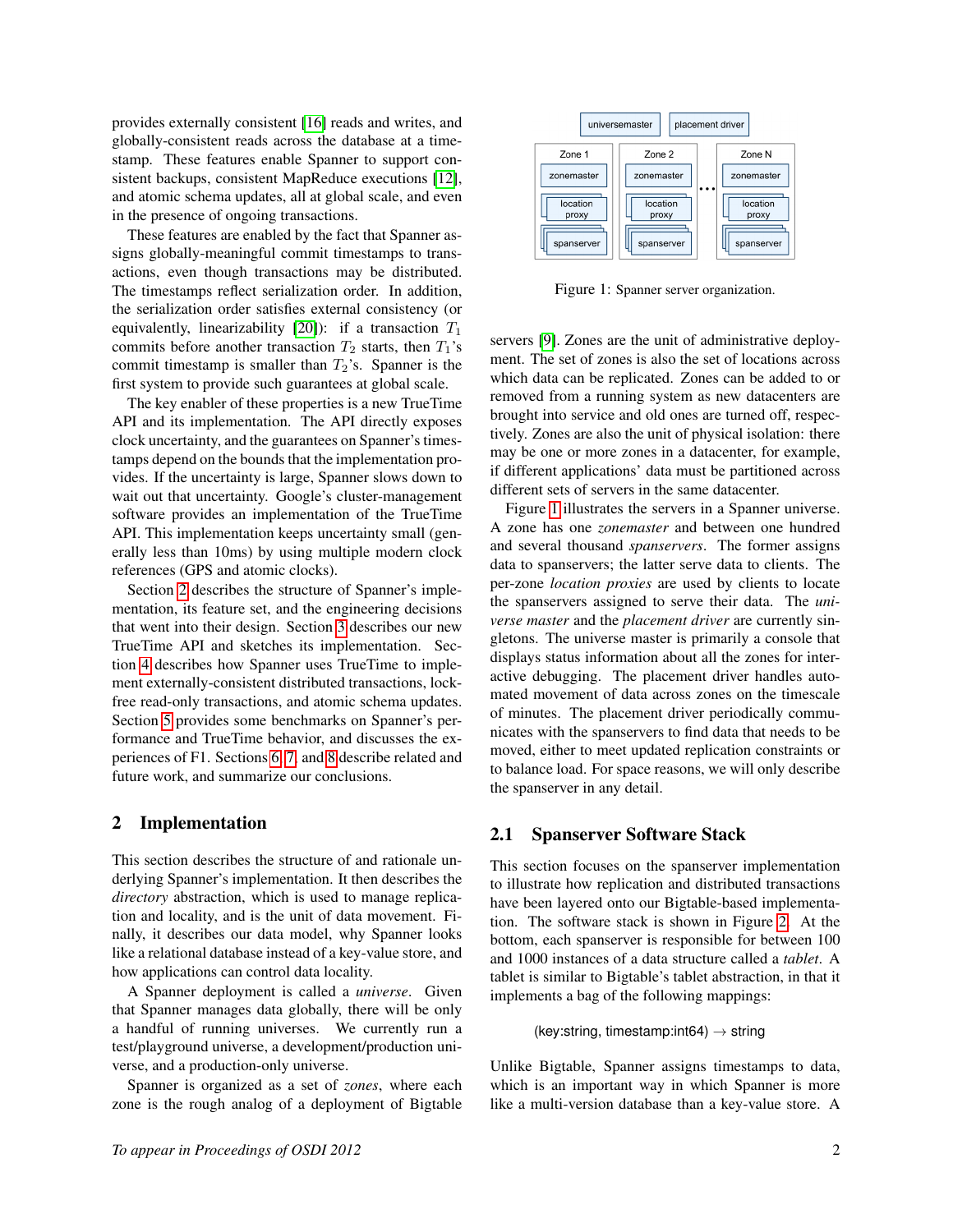provides externally consistent [\[16\]](#page-13-3) reads and writes, and globally-consistent reads across the database at a timestamp. These features enable Spanner to support consistent backups, consistent MapReduce executions [\[12\]](#page-13-4), and atomic schema updates, all at global scale, and even in the presence of ongoing transactions.

These features are enabled by the fact that Spanner assigns globally-meaningful commit timestamps to transactions, even though transactions may be distributed. The timestamps reflect serialization order. In addition, the serialization order satisfies external consistency (or equivalently, linearizability [\[20\]](#page-13-5)): if a transaction  $T_1$ commits before another transaction  $T_2$  starts, then  $T_1$ 's commit timestamp is smaller than  $T_2$ 's. Spanner is the first system to provide such guarantees at global scale.

The key enabler of these properties is a new TrueTime API and its implementation. The API directly exposes clock uncertainty, and the guarantees on Spanner's timestamps depend on the bounds that the implementation provides. If the uncertainty is large, Spanner slows down to wait out that uncertainty. Google's cluster-management software provides an implementation of the TrueTime API. This implementation keeps uncertainty small (generally less than 10ms) by using multiple modern clock references (GPS and atomic clocks).

Section [2](#page-1-0) describes the structure of Spanner's implementation, its feature set, and the engineering decisions that went into their design. Section [3](#page-4-0) describes our new TrueTime API and sketches its implementation. Section [4](#page-5-0) describes how Spanner uses TrueTime to implement externally-consistent distributed transactions, lockfree read-only transactions, and atomic schema updates. Section [5](#page-8-0) provides some benchmarks on Spanner's performance and TrueTime behavior, and discusses the experiences of F1. Sections [6,](#page-11-0) [7,](#page-11-1) and [8](#page-12-2) describe related and future work, and summarize our conclusions.

# <span id="page-1-0"></span>2 Implementation

This section describes the structure of and rationale underlying Spanner's implementation. It then describes the *directory* abstraction, which is used to manage replication and locality, and is the unit of data movement. Finally, it describes our data model, why Spanner looks like a relational database instead of a key-value store, and how applications can control data locality.

A Spanner deployment is called a *universe*. Given that Spanner manages data globally, there will be only a handful of running universes. We currently run a test/playground universe, a development/production universe, and a production-only universe.

Spanner is organized as a set of *zones*, where each zone is the rough analog of a deployment of Bigtable



<span id="page-1-1"></span>Figure 1: Spanner server organization.

servers [\[9\]](#page-12-0). Zones are the unit of administrative deployment. The set of zones is also the set of locations across which data can be replicated. Zones can be added to or removed from a running system as new datacenters are brought into service and old ones are turned off, respectively. Zones are also the unit of physical isolation: there may be one or more zones in a datacenter, for example, if different applications' data must be partitioned across different sets of servers in the same datacenter.

Figure [1](#page-1-1) illustrates the servers in a Spanner universe. A zone has one *zonemaster* and between one hundred and several thousand *spanservers*. The former assigns data to spanservers; the latter serve data to clients. The per-zone *location proxies* are used by clients to locate the spanservers assigned to serve their data. The *universe master* and the *placement driver* are currently singletons. The universe master is primarily a console that displays status information about all the zones for interactive debugging. The placement driver handles automated movement of data across zones on the timescale of minutes. The placement driver periodically communicates with the spanservers to find data that needs to be moved, either to meet updated replication constraints or to balance load. For space reasons, we will only describe the spanserver in any detail.

### 2.1 Spanserver Software Stack

This section focuses on the spanserver implementation to illustrate how replication and distributed transactions have been layered onto our Bigtable-based implementation. The software stack is shown in Figure [2.](#page-2-0) At the bottom, each spanserver is responsible for between 100 and 1000 instances of a data structure called a *tablet*. A tablet is similar to Bigtable's tablet abstraction, in that it implements a bag of the following mappings:

(key: string, timestamp: int64)  $\rightarrow$  string

Unlike Bigtable, Spanner assigns timestamps to data, which is an important way in which Spanner is more like a multi-version database than a key-value store. A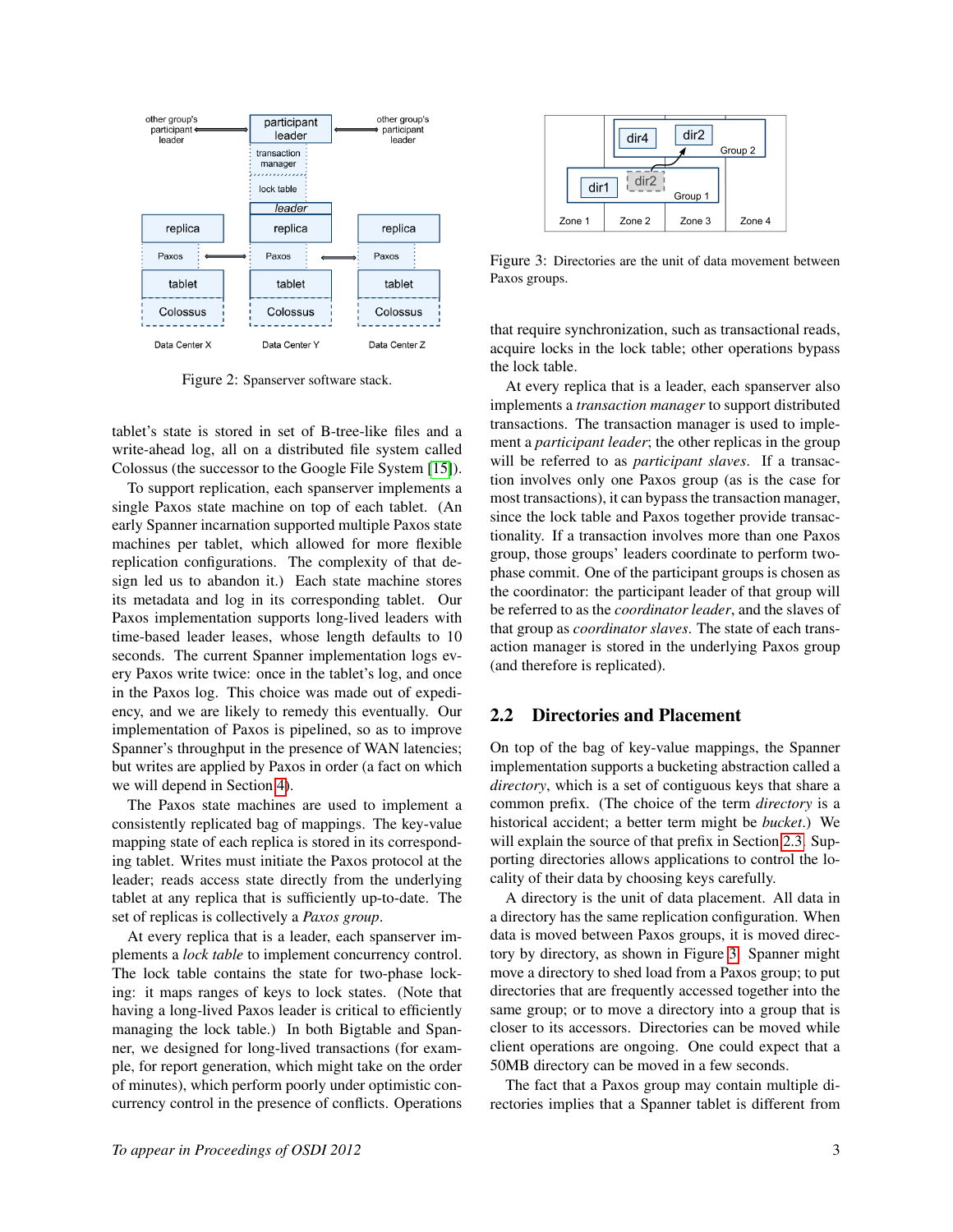

<span id="page-2-0"></span>Figure 2: Spanserver software stack.

tablet's state is stored in set of B-tree-like files and a write-ahead log, all on a distributed file system called Colossus (the successor to the Google File System [\[15\]](#page-13-6)).

To support replication, each spanserver implements a single Paxos state machine on top of each tablet. (An early Spanner incarnation supported multiple Paxos state machines per tablet, which allowed for more flexible replication configurations. The complexity of that design led us to abandon it.) Each state machine stores its metadata and log in its corresponding tablet. Our Paxos implementation supports long-lived leaders with time-based leader leases, whose length defaults to 10 seconds. The current Spanner implementation logs every Paxos write twice: once in the tablet's log, and once in the Paxos log. This choice was made out of expediency, and we are likely to remedy this eventually. Our implementation of Paxos is pipelined, so as to improve Spanner's throughput in the presence of WAN latencies; but writes are applied by Paxos in order (a fact on which we will depend in Section [4\)](#page-5-0).

The Paxos state machines are used to implement a consistently replicated bag of mappings. The key-value mapping state of each replica is stored in its corresponding tablet. Writes must initiate the Paxos protocol at the leader; reads access state directly from the underlying tablet at any replica that is sufficiently up-to-date. The set of replicas is collectively a *Paxos group*.

At every replica that is a leader, each spanserver implements a *lock table* to implement concurrency control. The lock table contains the state for two-phase locking: it maps ranges of keys to lock states. (Note that having a long-lived Paxos leader is critical to efficiently managing the lock table.) In both Bigtable and Spanner, we designed for long-lived transactions (for example, for report generation, which might take on the order of minutes), which perform poorly under optimistic concurrency control in the presence of conflicts. Operations



<span id="page-2-1"></span>Figure 3: Directories are the unit of data movement between Paxos groups.

that require synchronization, such as transactional reads, acquire locks in the lock table; other operations bypass the lock table.

At every replica that is a leader, each spanserver also implements a *transaction manager* to support distributed transactions. The transaction manager is used to implement a *participant leader*; the other replicas in the group will be referred to as *participant slaves*. If a transaction involves only one Paxos group (as is the case for most transactions), it can bypass the transaction manager, since the lock table and Paxos together provide transactionality. If a transaction involves more than one Paxos group, those groups' leaders coordinate to perform twophase commit. One of the participant groups is chosen as the coordinator: the participant leader of that group will be referred to as the *coordinator leader*, and the slaves of that group as *coordinator slaves*. The state of each transaction manager is stored in the underlying Paxos group (and therefore is replicated).

### 2.2 Directories and Placement

On top of the bag of key-value mappings, the Spanner implementation supports a bucketing abstraction called a *directory*, which is a set of contiguous keys that share a common prefix. (The choice of the term *directory* is a historical accident; a better term might be *bucket*.) We will explain the source of that prefix in Section [2.3.](#page-3-0) Supporting directories allows applications to control the locality of their data by choosing keys carefully.

A directory is the unit of data placement. All data in a directory has the same replication configuration. When data is moved between Paxos groups, it is moved directory by directory, as shown in Figure [3.](#page-2-1) Spanner might move a directory to shed load from a Paxos group; to put directories that are frequently accessed together into the same group; or to move a directory into a group that is closer to its accessors. Directories can be moved while client operations are ongoing. One could expect that a 50MB directory can be moved in a few seconds.

The fact that a Paxos group may contain multiple directories implies that a Spanner tablet is different from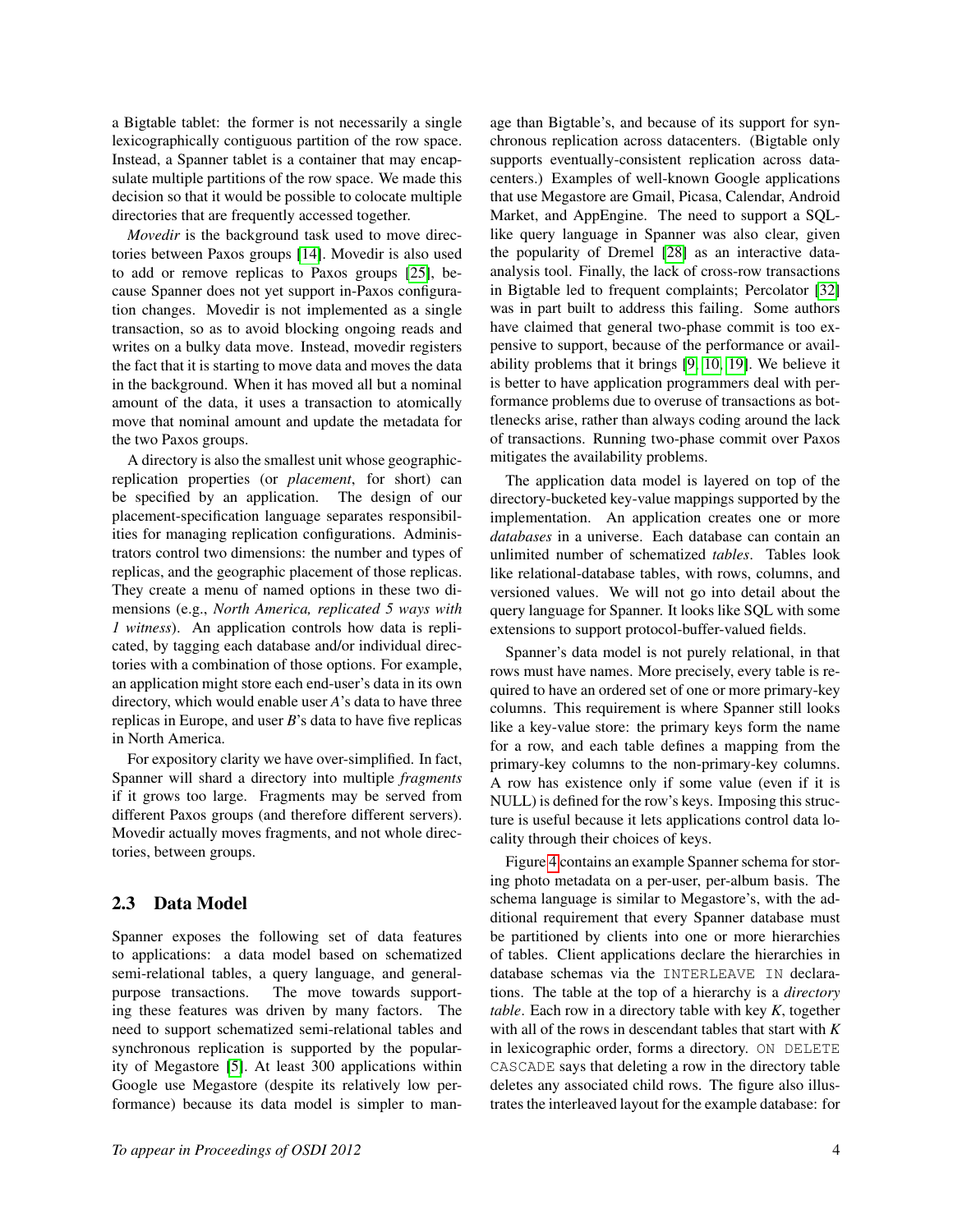a Bigtable tablet: the former is not necessarily a single lexicographically contiguous partition of the row space. Instead, a Spanner tablet is a container that may encapsulate multiple partitions of the row space. We made this decision so that it would be possible to colocate multiple directories that are frequently accessed together.

*Movedir* is the background task used to move directories between Paxos groups [\[14\]](#page-13-7). Movedir is also used to add or remove replicas to Paxos groups [\[25\]](#page-13-8), because Spanner does not yet support in-Paxos configuration changes. Movedir is not implemented as a single transaction, so as to avoid blocking ongoing reads and writes on a bulky data move. Instead, movedir registers the fact that it is starting to move data and moves the data in the background. When it has moved all but a nominal amount of the data, it uses a transaction to atomically move that nominal amount and update the metadata for the two Paxos groups.

A directory is also the smallest unit whose geographicreplication properties (or *placement*, for short) can be specified by an application. The design of our placement-specification language separates responsibilities for managing replication configurations. Administrators control two dimensions: the number and types of replicas, and the geographic placement of those replicas. They create a menu of named options in these two dimensions (e.g., *North America, replicated 5 ways with 1 witness*). An application controls how data is replicated, by tagging each database and/or individual directories with a combination of those options. For example, an application might store each end-user's data in its own directory, which would enable user *A*'s data to have three replicas in Europe, and user *B*'s data to have five replicas in North America.

For expository clarity we have over-simplified. In fact, Spanner will shard a directory into multiple *fragments* if it grows too large. Fragments may be served from different Paxos groups (and therefore different servers). Movedir actually moves fragments, and not whole directories, between groups.

# <span id="page-3-0"></span>2.3 Data Model

Spanner exposes the following set of data features to applications: a data model based on schematized semi-relational tables, a query language, and generalpurpose transactions. The move towards supporting these features was driven by many factors. The need to support schematized semi-relational tables and synchronous replication is supported by the popularity of Megastore [\[5\]](#page-12-1). At least 300 applications within Google use Megastore (despite its relatively low performance) because its data model is simpler to manage than Bigtable's, and because of its support for synchronous replication across datacenters. (Bigtable only supports eventually-consistent replication across datacenters.) Examples of well-known Google applications that use Megastore are Gmail, Picasa, Calendar, Android Market, and AppEngine. The need to support a SQLlike query language in Spanner was also clear, given the popularity of Dremel [\[28\]](#page-13-9) as an interactive dataanalysis tool. Finally, the lack of cross-row transactions in Bigtable led to frequent complaints; Percolator [\[32\]](#page-13-10) was in part built to address this failing. Some authors have claimed that general two-phase commit is too expensive to support, because of the performance or availability problems that it brings [\[9,](#page-12-0) [10,](#page-12-3) [19\]](#page-13-11). We believe it is better to have application programmers deal with performance problems due to overuse of transactions as bottlenecks arise, rather than always coding around the lack of transactions. Running two-phase commit over Paxos mitigates the availability problems.

The application data model is layered on top of the directory-bucketed key-value mappings supported by the implementation. An application creates one or more *databases* in a universe. Each database can contain an unlimited number of schematized *tables*. Tables look like relational-database tables, with rows, columns, and versioned values. We will not go into detail about the query language for Spanner. It looks like SQL with some extensions to support protocol-buffer-valued fields.

Spanner's data model is not purely relational, in that rows must have names. More precisely, every table is required to have an ordered set of one or more primary-key columns. This requirement is where Spanner still looks like a key-value store: the primary keys form the name for a row, and each table defines a mapping from the primary-key columns to the non-primary-key columns. A row has existence only if some value (even if it is NULL) is defined for the row's keys. Imposing this structure is useful because it lets applications control data locality through their choices of keys.

Figure [4](#page-4-1) contains an example Spanner schema for storing photo metadata on a per-user, per-album basis. The schema language is similar to Megastore's, with the additional requirement that every Spanner database must be partitioned by clients into one or more hierarchies of tables. Client applications declare the hierarchies in database schemas via the INTERLEAVE IN declarations. The table at the top of a hierarchy is a *directory table*. Each row in a directory table with key *K*, together with all of the rows in descendant tables that start with *K* in lexicographic order, forms a directory. ON DELETE CASCADE says that deleting a row in the directory table deletes any associated child rows. The figure also illustrates the interleaved layout for the example database: for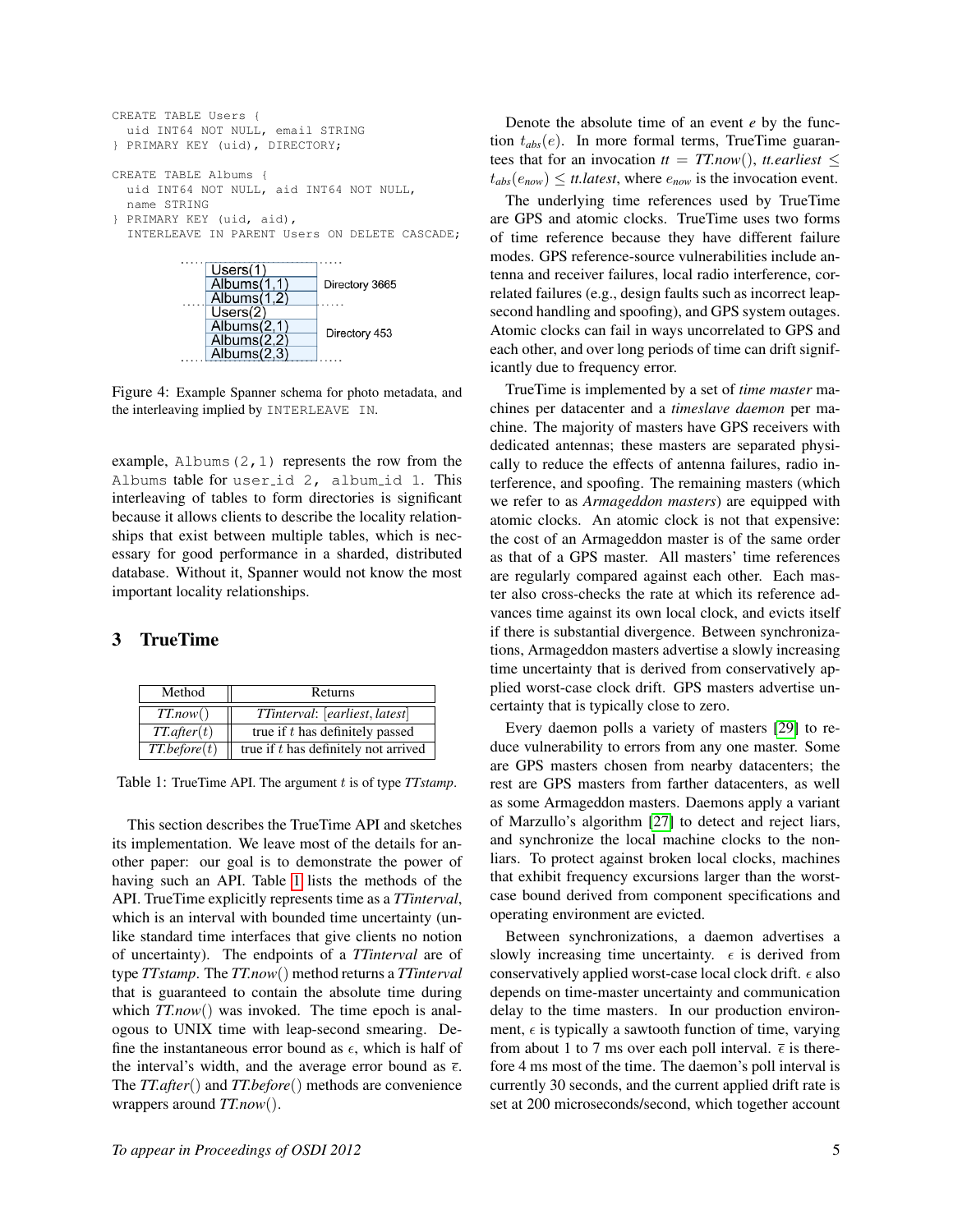```
CREATE TABLE Users {
  uid INT64 NOT NULL, email STRING
} PRIMARY KEY (uid), DIRECTORY;
CREATE TABLE Albums {
  uid INT64 NOT NULL, aid INT64 NOT NULL,
  name STRING
} PRIMARY KEY (uid, aid),
  INTERLEAVE IN PARENT Users ON DELETE CASCADE;
                                 \cdotsUsers(1)Albums(1,1
                                Directory 3665
               Albums(1,2)Users(2)Albums(2,1)
                                 Directory 453
              \frac{7154116(2,2)}{Albums(2,3)}
```
<span id="page-4-1"></span>

Figure 4: Example Spanner schema for photo metadata, and the interleaving implied by INTERLEAVE IN.

example, Albums $(2, 1)$  represents the row from the Albums table for user id 2, album id 1. This interleaving of tables to form directories is significant because it allows clients to describe the locality relationships that exist between multiple tables, which is necessary for good performance in a sharded, distributed database. Without it, Spanner would not know the most important locality relationships.

# <span id="page-4-0"></span>3 TrueTime

| Method            | Returns                              |  |  |
|-------------------|--------------------------------------|--|--|
| TTnow()           | TTinterval: [earliest, latest]       |  |  |
| $TT.$ after $(t)$ | true if t has definitely passed      |  |  |
| TT. before(t)     | true if t has definitely not arrived |  |  |

<span id="page-4-2"></span>Table 1: TrueTime API. The argument t is of type *TTstamp*.

This section describes the TrueTime API and sketches its implementation. We leave most of the details for another paper: our goal is to demonstrate the power of having such an API. Table [1](#page-4-2) lists the methods of the API. TrueTime explicitly represents time as a *TTinterval*, which is an interval with bounded time uncertainty (unlike standard time interfaces that give clients no notion of uncertainty). The endpoints of a *TTinterval* are of type *TTstamp*. The *TT.now*() method returns a *TTinterval* that is guaranteed to contain the absolute time during which *TT.now*() was invoked. The time epoch is analogous to UNIX time with leap-second smearing. Define the instantaneous error bound as  $\epsilon$ , which is half of the interval's width, and the average error bound as  $\bar{\epsilon}$ . The *TT.after*() and *TT.before*() methods are convenience wrappers around *TT.now*().

Denote the absolute time of an event *e* by the function t*abs*(e). In more formal terms, TrueTime guarantees that for an invocation  $tt = TT now()$ , *tt.earliest*  $\leq$  $t_{abs}(e_{now}) \leq t$ *t.latest*, where  $e_{now}$  is the invocation event.

The underlying time references used by TrueTime are GPS and atomic clocks. TrueTime uses two forms of time reference because they have different failure modes. GPS reference-source vulnerabilities include antenna and receiver failures, local radio interference, correlated failures (e.g., design faults such as incorrect leapsecond handling and spoofing), and GPS system outages. Atomic clocks can fail in ways uncorrelated to GPS and each other, and over long periods of time can drift significantly due to frequency error.

TrueTime is implemented by a set of *time master* machines per datacenter and a *timeslave daemon* per machine. The majority of masters have GPS receivers with dedicated antennas; these masters are separated physically to reduce the effects of antenna failures, radio interference, and spoofing. The remaining masters (which we refer to as *Armageddon masters*) are equipped with atomic clocks. An atomic clock is not that expensive: the cost of an Armageddon master is of the same order as that of a GPS master. All masters' time references are regularly compared against each other. Each master also cross-checks the rate at which its reference advances time against its own local clock, and evicts itself if there is substantial divergence. Between synchronizations, Armageddon masters advertise a slowly increasing time uncertainty that is derived from conservatively applied worst-case clock drift. GPS masters advertise uncertainty that is typically close to zero.

Every daemon polls a variety of masters [\[29\]](#page-13-12) to reduce vulnerability to errors from any one master. Some are GPS masters chosen from nearby datacenters; the rest are GPS masters from farther datacenters, as well as some Armageddon masters. Daemons apply a variant of Marzullo's algorithm [\[27\]](#page-13-13) to detect and reject liars, and synchronize the local machine clocks to the nonliars. To protect against broken local clocks, machines that exhibit frequency excursions larger than the worstcase bound derived from component specifications and operating environment are evicted.

Between synchronizations, a daemon advertises a slowly increasing time uncertainty.  $\epsilon$  is derived from conservatively applied worst-case local clock drift.  $\epsilon$  also depends on time-master uncertainty and communication delay to the time masters. In our production environment,  $\epsilon$  is typically a sawtooth function of time, varying from about 1 to 7 ms over each poll interval.  $\bar{\epsilon}$  is therefore 4 ms most of the time. The daemon's poll interval is currently 30 seconds, and the current applied drift rate is set at 200 microseconds/second, which together account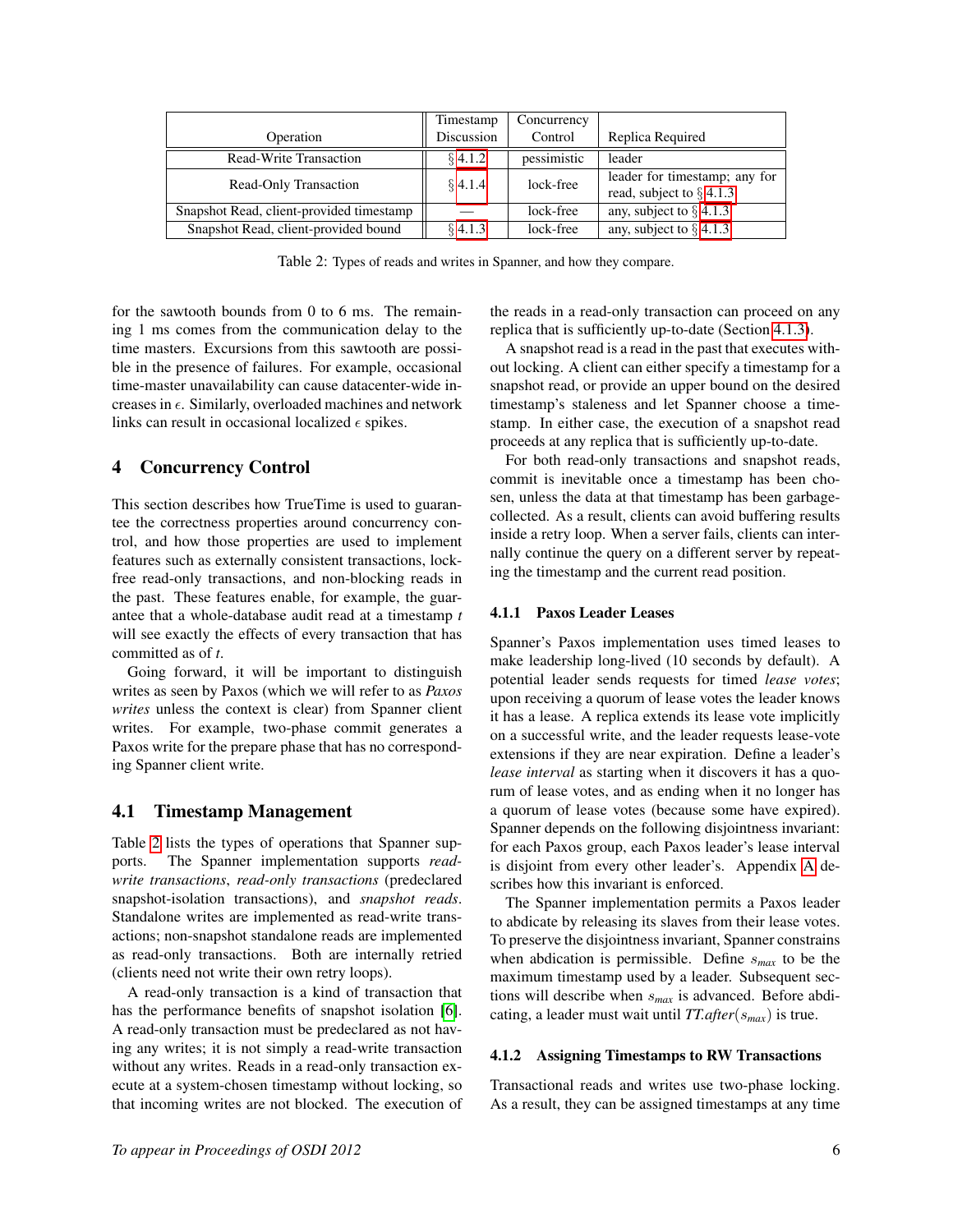|                                          | Timestamp  | Concurrency |                               |
|------------------------------------------|------------|-------------|-------------------------------|
| Operation                                | Discussion | Control     | Replica Required              |
| Read-Write Transaction                   | $§$ 4.1.2  | pessimistic | leader                        |
| Read-Only Transaction                    | $§$ 4.1.4  | lock-free   | leader for timestamp; any for |
|                                          |            |             | read, subject to $\S 4.1.3$   |
| Snapshot Read, client-provided timestamp |            | lock-free   | any, subject to $\S$ 4.1.3    |
| Snapshot Read, client-provided bound     | $§$ 4.1.3  | lock-free   | any, subject to $\S$ 4.1.3    |

<span id="page-5-2"></span>Table 2: Types of reads and writes in Spanner, and how they compare.

for the sawtooth bounds from 0 to 6 ms. The remaining 1 ms comes from the communication delay to the time masters. Excursions from this sawtooth are possible in the presence of failures. For example, occasional time-master unavailability can cause datacenter-wide increases in  $\epsilon$ . Similarly, overloaded machines and network links can result in occasional localized  $\epsilon$  spikes.

# <span id="page-5-0"></span>4 Concurrency Control

This section describes how TrueTime is used to guarantee the correctness properties around concurrency control, and how those properties are used to implement features such as externally consistent transactions, lockfree read-only transactions, and non-blocking reads in the past. These features enable, for example, the guarantee that a whole-database audit read at a timestamp *t* will see exactly the effects of every transaction that has committed as of *t*.

Going forward, it will be important to distinguish writes as seen by Paxos (which we will refer to as *Paxos writes* unless the context is clear) from Spanner client writes. For example, two-phase commit generates a Paxos write for the prepare phase that has no corresponding Spanner client write.

# 4.1 Timestamp Management

Table [2](#page-5-2) lists the types of operations that Spanner supports. The Spanner implementation supports *readwrite transactions*, *read-only transactions* (predeclared snapshot-isolation transactions), and *snapshot reads*. Standalone writes are implemented as read-write transactions; non-snapshot standalone reads are implemented as read-only transactions. Both are internally retried (clients need not write their own retry loops).

A read-only transaction is a kind of transaction that has the performance benefits of snapshot isolation [\[6\]](#page-12-4). A read-only transaction must be predeclared as not having any writes; it is not simply a read-write transaction without any writes. Reads in a read-only transaction execute at a system-chosen timestamp without locking, so that incoming writes are not blocked. The execution of the reads in a read-only transaction can proceed on any replica that is sufficiently up-to-date (Section [4.1.3\)](#page-6-1).

A snapshot read is a read in the past that executes without locking. A client can either specify a timestamp for a snapshot read, or provide an upper bound on the desired timestamp's staleness and let Spanner choose a timestamp. In either case, the execution of a snapshot read proceeds at any replica that is sufficiently up-to-date.

For both read-only transactions and snapshot reads, commit is inevitable once a timestamp has been chosen, unless the data at that timestamp has been garbagecollected. As a result, clients can avoid buffering results inside a retry loop. When a server fails, clients can internally continue the query on a different server by repeating the timestamp and the current read position.

### 4.1.1 Paxos Leader Leases

Spanner's Paxos implementation uses timed leases to make leadership long-lived (10 seconds by default). A potential leader sends requests for timed *lease votes*; upon receiving a quorum of lease votes the leader knows it has a lease. A replica extends its lease vote implicitly on a successful write, and the leader requests lease-vote extensions if they are near expiration. Define a leader's *lease interval* as starting when it discovers it has a quorum of lease votes, and as ending when it no longer has a quorum of lease votes (because some have expired). Spanner depends on the following disjointness invariant: for each Paxos group, each Paxos leader's lease interval is disjoint from every other leader's. Appendix [A](#page-13-14) describes how this invariant is enforced.

The Spanner implementation permits a Paxos leader to abdicate by releasing its slaves from their lease votes. To preserve the disjointness invariant, Spanner constrains when abdication is permissible. Define s*max* to be the maximum timestamp used by a leader. Subsequent sections will describe when s*max* is advanced. Before abdicating, a leader must wait until *TT.after*(s*max*) is true.

#### <span id="page-5-1"></span>4.1.2 Assigning Timestamps to RW Transactions

Transactional reads and writes use two-phase locking. As a result, they can be assigned timestamps at any time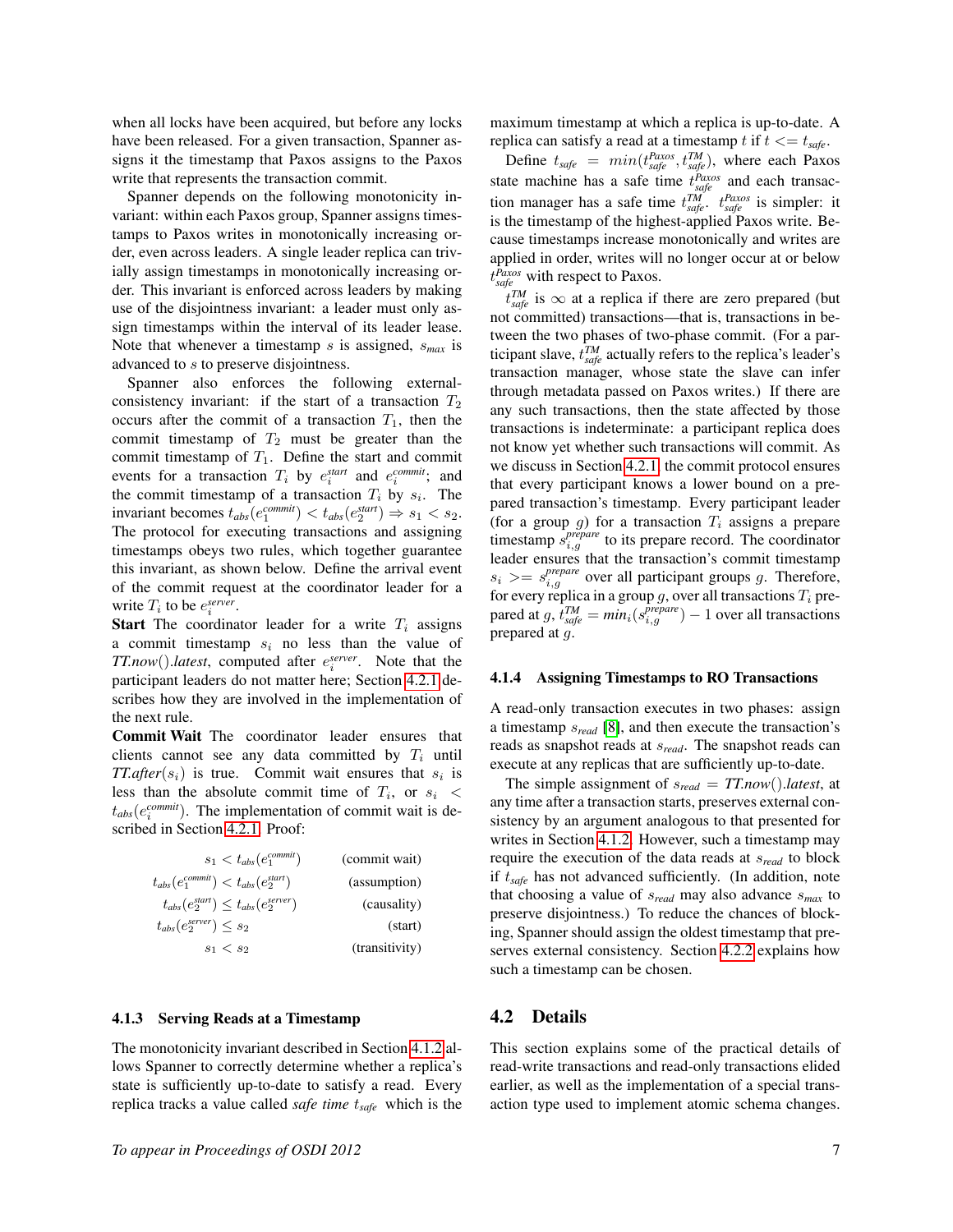when all locks have been acquired, but before any locks have been released. For a given transaction, Spanner assigns it the timestamp that Paxos assigns to the Paxos write that represents the transaction commit.

Spanner depends on the following monotonicity invariant: within each Paxos group, Spanner assigns timestamps to Paxos writes in monotonically increasing order, even across leaders. A single leader replica can trivially assign timestamps in monotonically increasing order. This invariant is enforced across leaders by making use of the disjointness invariant: a leader must only assign timestamps within the interval of its leader lease. Note that whenever a timestamp s is assigned, s*max* is advanced to s to preserve disjointness.

Spanner also enforces the following externalconsistency invariant: if the start of a transaction  $T_2$ occurs after the commit of a transaction  $T_1$ , then the commit timestamp of  $T_2$  must be greater than the commit timestamp of  $T_1$ . Define the start and commit events for a transaction  $T_i$  by  $e_i^{start}$  and  $e_i^{commit}$ ; and the commit timestamp of a transaction  $T_i$  by  $s_i$ . The invariant becomes  $t_{abs}(e_1^{commit}) < t_{abs}(e_2^{start}) \Rightarrow s_1 < s_2$ . The protocol for executing transactions and assigning timestamps obeys two rules, which together guarantee this invariant, as shown below. Define the arrival event of the commit request at the coordinator leader for a write  $T_i$  to be  $e_i^{server}$ .

**Start** The coordinator leader for a write  $T_i$  assigns a commit timestamp  $s_i$  no less than the value of *TT.now*().*latest*, computed after e *server* i . Note that the participant leaders do not matter here; Section [4.2.1](#page-7-0) describes how they are involved in the implementation of the next rule.

Commit Wait The coordinator leader ensures that clients cannot see any data committed by  $T_i$  until *TT.after* $(s_i)$  is true. Commit wait ensures that  $s_i$  is less than the absolute commit time of  $T_i$ , or  $s_i$  <  $t_{\text{abs}}(e_i^{\text{commit}})$ . The implementation of commit wait is described in Section [4.2.1.](#page-7-0) Proof:

| (commit wait)  | $s_1 < t_{abs}(e_1^{commit})$                     |
|----------------|---------------------------------------------------|
| (assumption)   | $t_{abs}(e_1^{commit}) < t_{abs}(e_2^{start})$    |
| (causality)    | $t_{abs}(e_2^{start}) \leq t_{abs}(e_2^{server})$ |
| (start)        | $t_{abs}(e_2^{server}) \leq s_2$                  |
| (transitivity) | $s_1 < s_2$                                       |

#### <span id="page-6-1"></span>4.1.3 Serving Reads at a Timestamp

The monotonicity invariant described in Section [4.1.2](#page-5-1) allows Spanner to correctly determine whether a replica's state is sufficiently up-to-date to satisfy a read. Every replica tracks a value called *safe time* t*safe* which is the maximum timestamp at which a replica is up-to-date. A replica can satisfy a read at a timestamp  $t$  if  $t \leq t_{\text{safe}}$ .

Define  $t_{\text{safe}} = \min(t_{\text{safe}}^{\text{Paxos}}, t_{\text{safe}}^{\text{TM}})$ , where each Paxos state machine has a safe time  $t_{\text{safe}}^{Paxos}$  and each transaction manager has a safe time  $t_{\textit{safe}}^{TM}$ .  $t_{\textit{safe}}^{Paxos}$  is simpler: it is the timestamp of the highest-applied Paxos write. Because timestamps increase monotonically and writes are applied in order, writes will no longer occur at or below t *Paxos safe* with respect to Paxos.

 $t_{\textit{safe}}^{TM}$  is  $\infty$  at a replica if there are zero prepared (but not committed) transactions—that is, transactions in between the two phases of two-phase commit. (For a participant slave,  $t_{\text{safe}}^{TM}$  actually refers to the replica's leader's transaction manager, whose state the slave can infer through metadata passed on Paxos writes.) If there are any such transactions, then the state affected by those transactions is indeterminate: a participant replica does not know yet whether such transactions will commit. As we discuss in Section [4.2.1,](#page-7-0) the commit protocol ensures that every participant knows a lower bound on a prepared transaction's timestamp. Every participant leader (for a group  $g$ ) for a transaction  $T_i$  assigns a prepare timestamp  $\hat{s}_{i,g}^{prepare}$  to its prepare record. The coordinator leader ensures that the transaction's commit timestamp  $s_i \geq s_{i,g}^{prepare}$  over all participant groups g. Therefore, for every replica in a group  $g$ , over all transactions  $T_i$  prepared at  $g$ ,  $\hat{t}_{\text{safe}}^{\text{TM}} = \min_i(s_{i,g}^{\text{prepare}}) - 1$  over all transactions prepared at g.

#### <span id="page-6-0"></span>4.1.4 Assigning Timestamps to RO Transactions

A read-only transaction executes in two phases: assign a timestamp s*read* [\[8\]](#page-12-5), and then execute the transaction's reads as snapshot reads at s*read*. The snapshot reads can execute at any replicas that are sufficiently up-to-date.

The simple assignment of s*read* = *TT.now*().*latest*, at any time after a transaction starts, preserves external consistency by an argument analogous to that presented for writes in Section [4.1.2.](#page-5-1) However, such a timestamp may require the execution of the data reads at s*read* to block if t*safe* has not advanced sufficiently. (In addition, note that choosing a value of s*read* may also advance s*max* to preserve disjointness.) To reduce the chances of blocking, Spanner should assign the oldest timestamp that preserves external consistency. Section [4.2.2](#page-7-1) explains how such a timestamp can be chosen.

### 4.2 Details

This section explains some of the practical details of read-write transactions and read-only transactions elided earlier, as well as the implementation of a special transaction type used to implement atomic schema changes.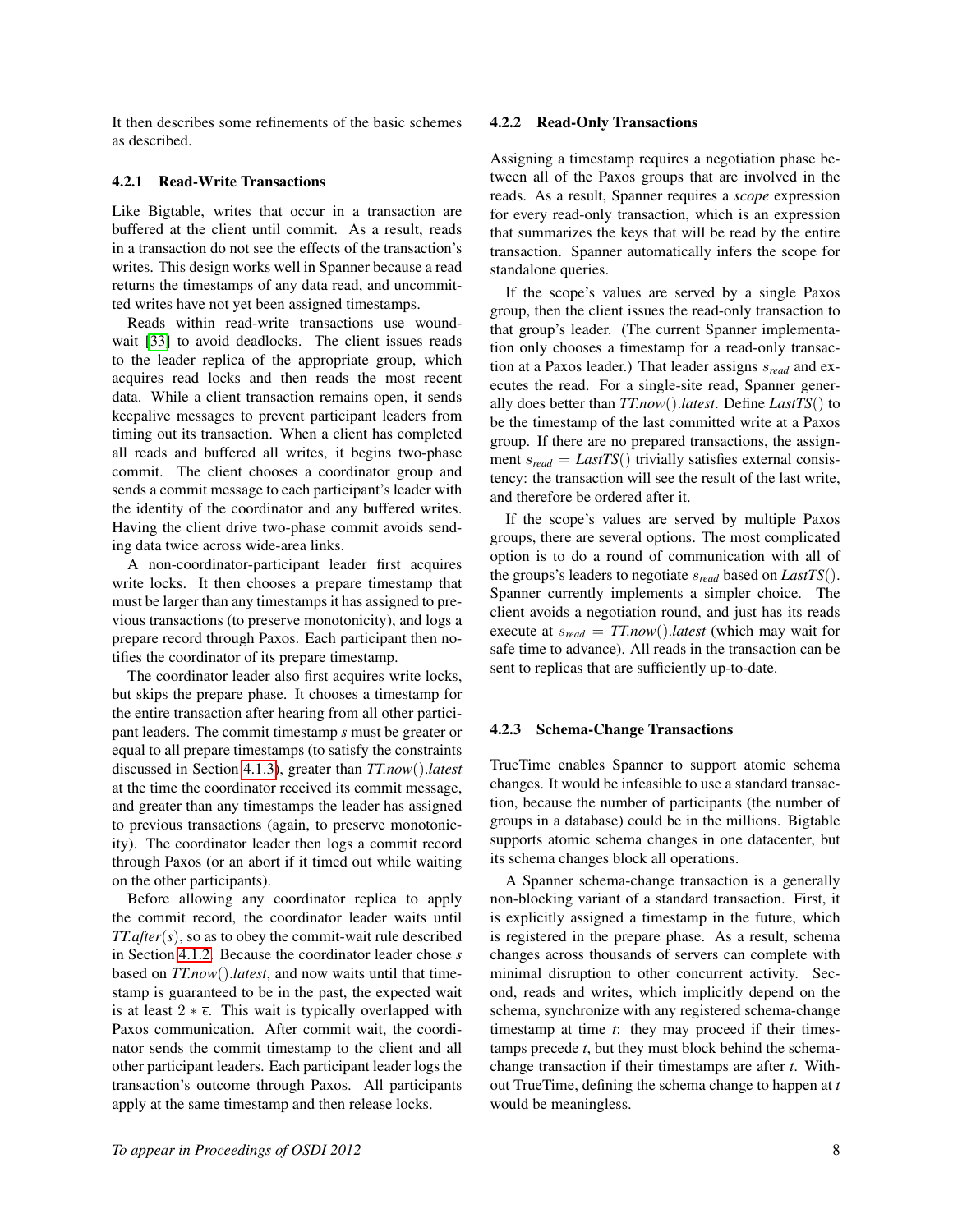It then describes some refinements of the basic schemes as described.

#### <span id="page-7-0"></span>4.2.1 Read-Write Transactions

Like Bigtable, writes that occur in a transaction are buffered at the client until commit. As a result, reads in a transaction do not see the effects of the transaction's writes. This design works well in Spanner because a read returns the timestamps of any data read, and uncommitted writes have not yet been assigned timestamps.

Reads within read-write transactions use woundwait [\[33\]](#page-13-15) to avoid deadlocks. The client issues reads to the leader replica of the appropriate group, which acquires read locks and then reads the most recent data. While a client transaction remains open, it sends keepalive messages to prevent participant leaders from timing out its transaction. When a client has completed all reads and buffered all writes, it begins two-phase commit. The client chooses a coordinator group and sends a commit message to each participant's leader with the identity of the coordinator and any buffered writes. Having the client drive two-phase commit avoids sending data twice across wide-area links.

A non-coordinator-participant leader first acquires write locks. It then chooses a prepare timestamp that must be larger than any timestamps it has assigned to previous transactions (to preserve monotonicity), and logs a prepare record through Paxos. Each participant then notifies the coordinator of its prepare timestamp.

The coordinator leader also first acquires write locks, but skips the prepare phase. It chooses a timestamp for the entire transaction after hearing from all other participant leaders. The commit timestamp *s* must be greater or equal to all prepare timestamps (to satisfy the constraints discussed in Section [4.1.3\)](#page-6-1), greater than *TT.now*().*latest* at the time the coordinator received its commit message, and greater than any timestamps the leader has assigned to previous transactions (again, to preserve monotonicity). The coordinator leader then logs a commit record through Paxos (or an abort if it timed out while waiting on the other participants).

Before allowing any coordinator replica to apply the commit record, the coordinator leader waits until *TT.after*(*s*), so as to obey the commit-wait rule described in Section [4.1.2.](#page-5-1) Because the coordinator leader chose *s* based on *TT.now*().*latest*, and now waits until that timestamp is guaranteed to be in the past, the expected wait is at least  $2 * \bar{\epsilon}$ . This wait is typically overlapped with Paxos communication. After commit wait, the coordinator sends the commit timestamp to the client and all other participant leaders. Each participant leader logs the transaction's outcome through Paxos. All participants apply at the same timestamp and then release locks.

#### <span id="page-7-1"></span>4.2.2 Read-Only Transactions

Assigning a timestamp requires a negotiation phase between all of the Paxos groups that are involved in the reads. As a result, Spanner requires a *scope* expression for every read-only transaction, which is an expression that summarizes the keys that will be read by the entire transaction. Spanner automatically infers the scope for standalone queries.

If the scope's values are served by a single Paxos group, then the client issues the read-only transaction to that group's leader. (The current Spanner implementation only chooses a timestamp for a read-only transaction at a Paxos leader.) That leader assigns s*read* and executes the read. For a single-site read, Spanner generally does better than *TT.now*().*latest*. Define *LastTS*() to be the timestamp of the last committed write at a Paxos group. If there are no prepared transactions, the assignment  $s_{read} = LastTS()$  trivially satisfies external consistency: the transaction will see the result of the last write, and therefore be ordered after it.

If the scope's values are served by multiple Paxos groups, there are several options. The most complicated option is to do a round of communication with all of the groups's leaders to negotiate s*read* based on *LastTS*(). Spanner currently implements a simpler choice. The client avoids a negotiation round, and just has its reads execute at s*read* = *TT.now*().*latest* (which may wait for safe time to advance). All reads in the transaction can be sent to replicas that are sufficiently up-to-date.

#### 4.2.3 Schema-Change Transactions

TrueTime enables Spanner to support atomic schema changes. It would be infeasible to use a standard transaction, because the number of participants (the number of groups in a database) could be in the millions. Bigtable supports atomic schema changes in one datacenter, but its schema changes block all operations.

A Spanner schema-change transaction is a generally non-blocking variant of a standard transaction. First, it is explicitly assigned a timestamp in the future, which is registered in the prepare phase. As a result, schema changes across thousands of servers can complete with minimal disruption to other concurrent activity. Second, reads and writes, which implicitly depend on the schema, synchronize with any registered schema-change timestamp at time *t*: they may proceed if their timestamps precede *t*, but they must block behind the schemachange transaction if their timestamps are after *t*. Without TrueTime, defining the schema change to happen at *t* would be meaningless.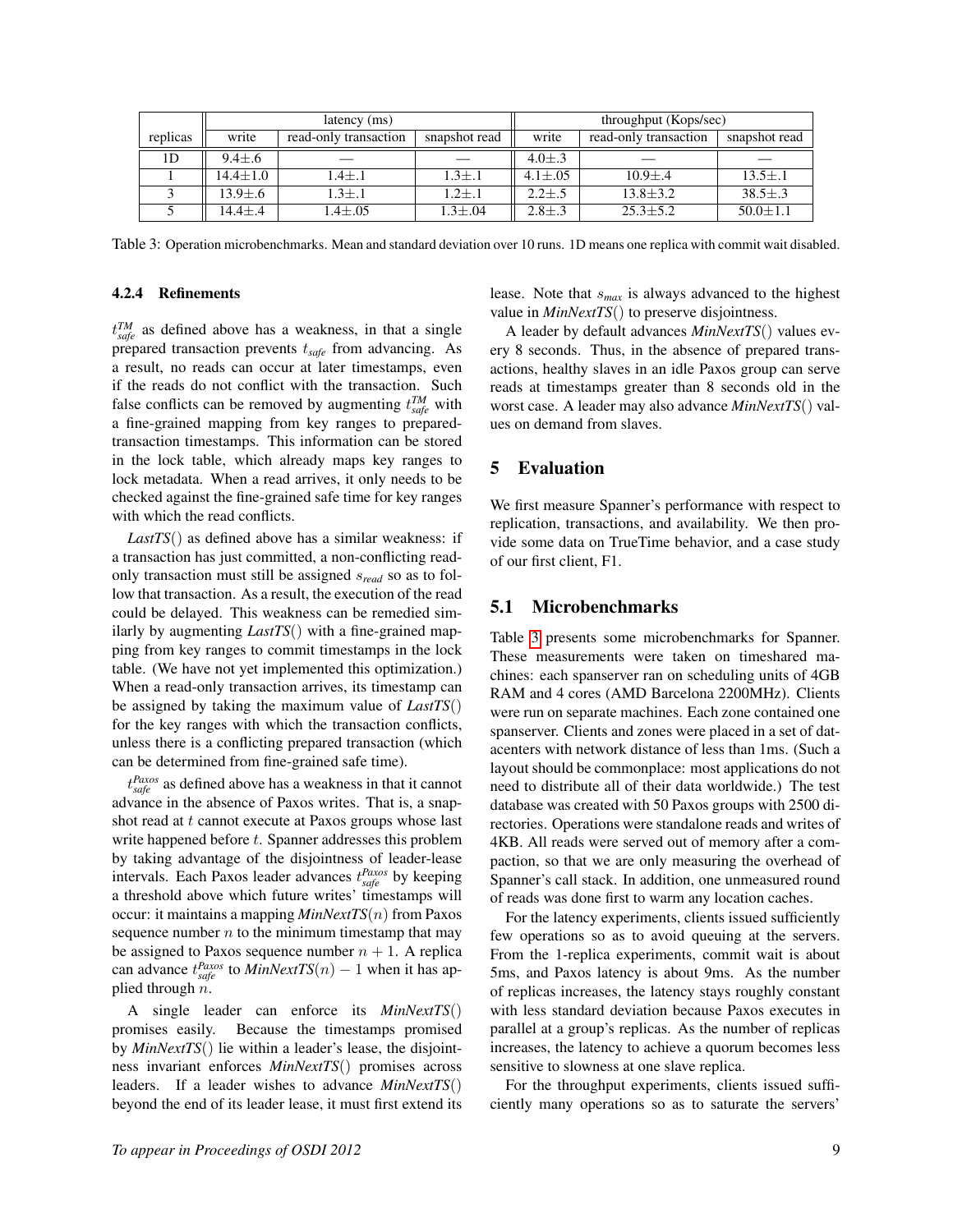|          | latency (ms)   |                       |               | throughput (Kops/sec) |                       |                |
|----------|----------------|-----------------------|---------------|-----------------------|-----------------------|----------------|
| replicas | write          | read-only transaction | snapshot read | write                 | read-only transaction | snapshot read  |
| 1D.      | $9.4 + .6$     |                       |               | $4.0 \pm .3$          |                       |                |
|          | $14.4 \pm 1.0$ | $1.4 \pm .1$          | $1.3 \pm .1$  | $4.1 \pm .05$         | $10.9 + .4$           | $13.5 \pm .1$  |
|          | $13.9 \pm .6$  | $1.3 \pm .1$          | $1.2 + .1$    | $2.2 \pm .5$          | $13.8 \pm 3.2$        | $38.5 \pm .3$  |
|          | $14.4 + .4$    | $1.4 \pm .05$         | $1.3 \pm .04$ | $2.8 \pm .3$          | $25.3 \pm 5.2$        | $50.0 \pm 1.1$ |

<span id="page-8-1"></span>Table 3: Operation microbenchmarks. Mean and standard deviation over 10 runs. 1D means one replica with commit wait disabled.

#### 4.2.4 Refinements

 $t_{\textit{safe}}^{TM}$  as defined above has a weakness, in that a single prepared transaction prevents t*safe* from advancing. As a result, no reads can occur at later timestamps, even if the reads do not conflict with the transaction. Such false conflicts can be removed by augmenting  $t_{\textit{safe}}^{TM}$  with a fine-grained mapping from key ranges to preparedtransaction timestamps. This information can be stored in the lock table, which already maps key ranges to lock metadata. When a read arrives, it only needs to be checked against the fine-grained safe time for key ranges with which the read conflicts.

*LastTS*() as defined above has a similar weakness: if a transaction has just committed, a non-conflicting readonly transaction must still be assigned s*read* so as to follow that transaction. As a result, the execution of the read could be delayed. This weakness can be remedied similarly by augmenting *LastTS*() with a fine-grained mapping from key ranges to commit timestamps in the lock table. (We have not yet implemented this optimization.) When a read-only transaction arrives, its timestamp can be assigned by taking the maximum value of *LastTS*() for the key ranges with which the transaction conflicts, unless there is a conflicting prepared transaction (which can be determined from fine-grained safe time).

t *Paxos safe* as defined above has a weakness in that it cannot advance in the absence of Paxos writes. That is, a snapshot read at t cannot execute at Paxos groups whose last write happened before t. Spanner addresses this problem by taking advantage of the disjointness of leader-lease intervals. Each Paxos leader advances t *Paxos safe* by keeping a threshold above which future writes' timestamps will occur: it maintains a mapping *MinNextTS*(n) from Paxos sequence number  $n$  to the minimum timestamp that may be assigned to Paxos sequence number  $n + 1$ . A replica can advance  $t_{\textit{safe}}^{\textit{Paxos}}$  to  $\textit{MinNextTS}(n) - 1$  when it has applied through  $n$ .

A single leader can enforce its *MinNextTS*() promises easily. Because the timestamps promised by *MinNextTS*() lie within a leader's lease, the disjointness invariant enforces *MinNextTS*() promises across leaders. If a leader wishes to advance *MinNextTS*() beyond the end of its leader lease, it must first extend its lease. Note that s*max* is always advanced to the highest value in *MinNextTS*() to preserve disjointness.

A leader by default advances *MinNextTS*() values every 8 seconds. Thus, in the absence of prepared transactions, healthy slaves in an idle Paxos group can serve reads at timestamps greater than 8 seconds old in the worst case. A leader may also advance *MinNextTS*() values on demand from slaves.

### <span id="page-8-0"></span>5 Evaluation

We first measure Spanner's performance with respect to replication, transactions, and availability. We then provide some data on TrueTime behavior, and a case study of our first client, F1.

# 5.1 Microbenchmarks

Table [3](#page-8-1) presents some microbenchmarks for Spanner. These measurements were taken on timeshared machines: each spanserver ran on scheduling units of 4GB RAM and 4 cores (AMD Barcelona 2200MHz). Clients were run on separate machines. Each zone contained one spanserver. Clients and zones were placed in a set of datacenters with network distance of less than 1ms. (Such a layout should be commonplace: most applications do not need to distribute all of their data worldwide.) The test database was created with 50 Paxos groups with 2500 directories. Operations were standalone reads and writes of 4KB. All reads were served out of memory after a compaction, so that we are only measuring the overhead of Spanner's call stack. In addition, one unmeasured round of reads was done first to warm any location caches.

For the latency experiments, clients issued sufficiently few operations so as to avoid queuing at the servers. From the 1-replica experiments, commit wait is about 5ms, and Paxos latency is about 9ms. As the number of replicas increases, the latency stays roughly constant with less standard deviation because Paxos executes in parallel at a group's replicas. As the number of replicas increases, the latency to achieve a quorum becomes less sensitive to slowness at one slave replica.

For the throughput experiments, clients issued sufficiently many operations so as to saturate the servers'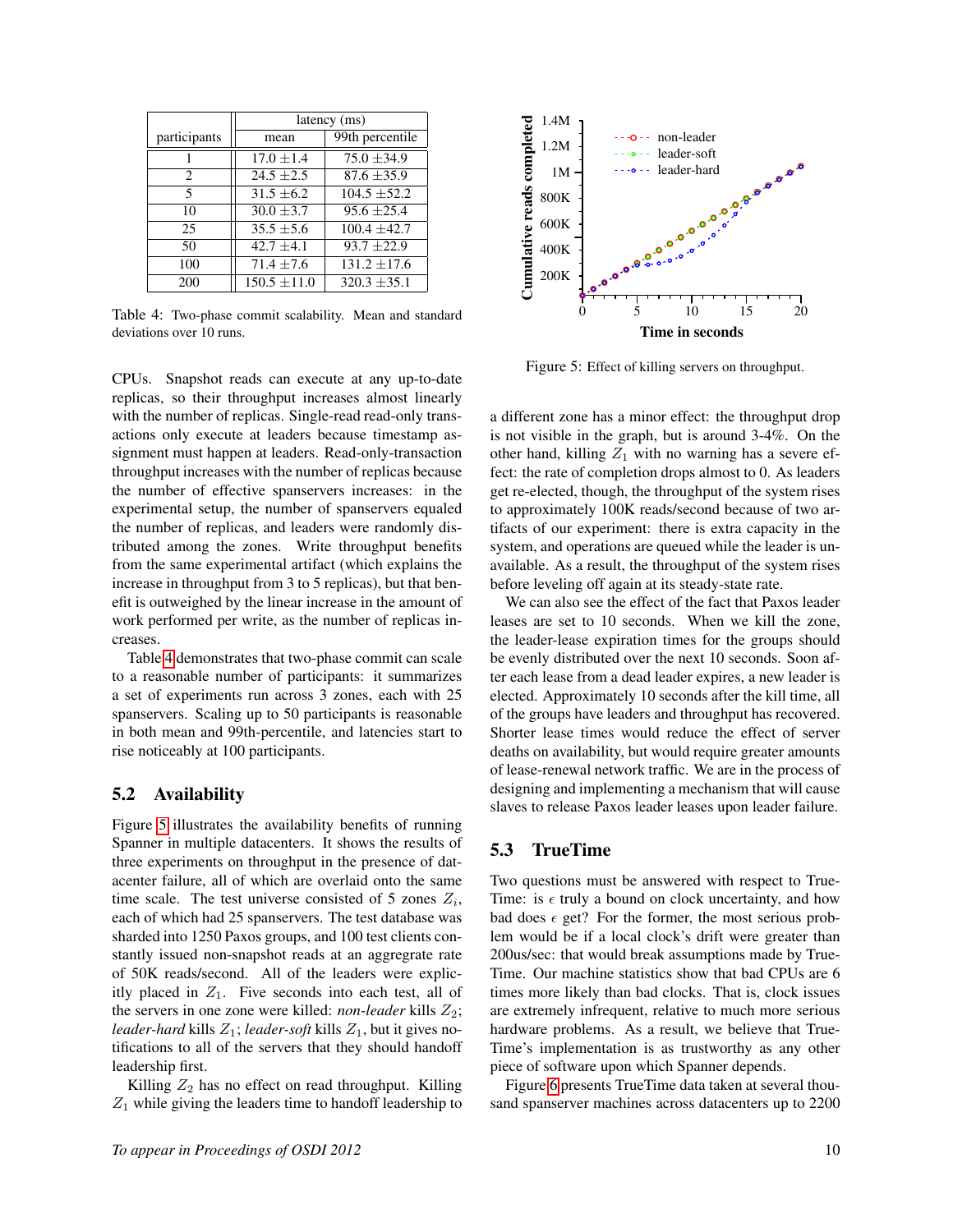|              | latency (ms)     |                  |  |
|--------------|------------------|------------------|--|
| participants | mean             | 99th percentile  |  |
|              | $17.0 \pm 1.4$   | $75.0 \pm 34.9$  |  |
| 2            | $24.5 + 2.5$     | $87.6 + 35.9$    |  |
| 5            | $31.5 \pm 6.2$   | $104.5 + 52.2$   |  |
| 10           | $30.0 \pm 3.7$   | $95.6 \pm 25.4$  |  |
| 25           | $35.5 + 5.6$     | $100.4 + 42.7$   |  |
| 50           | $42.7 + 4.1$     | $93.7 + 22.9$    |  |
| 100          | $71.4 \pm 7.6$   | $131.2 \pm 17.6$ |  |
| 200          | $150.5 \pm 11.0$ | $320.3 + 35.1$   |  |

<span id="page-9-0"></span>Table 4: Two-phase commit scalability. Mean and standard deviations over 10 runs.

CPUs. Snapshot reads can execute at any up-to-date replicas, so their throughput increases almost linearly with the number of replicas. Single-read read-only transactions only execute at leaders because timestamp assignment must happen at leaders. Read-only-transaction throughput increases with the number of replicas because the number of effective spanservers increases: in the experimental setup, the number of spanservers equaled the number of replicas, and leaders were randomly distributed among the zones. Write throughput benefits from the same experimental artifact (which explains the increase in throughput from 3 to 5 replicas), but that benefit is outweighed by the linear increase in the amount of work performed per write, as the number of replicas increases.

Table [4](#page-9-0) demonstrates that two-phase commit can scale to a reasonable number of participants: it summarizes a set of experiments run across 3 zones, each with 25 spanservers. Scaling up to 50 participants is reasonable in both mean and 99th-percentile, and latencies start to rise noticeably at 100 participants.

# 5.2 Availability

Figure [5](#page-9-1) illustrates the availability benefits of running Spanner in multiple datacenters. It shows the results of three experiments on throughput in the presence of datacenter failure, all of which are overlaid onto the same time scale. The test universe consisted of 5 zones  $Z_i$ , each of which had 25 spanservers. The test database was sharded into 1250 Paxos groups, and 100 test clients constantly issued non-snapshot reads at an aggregrate rate of 50K reads/second. All of the leaders were explicitly placed in  $Z_1$ . Five seconds into each test, all of the servers in one zone were killed: *non-leader* kills  $Z_2$ ; *leader-hard* kills  $Z_1$ ; *leader-soft* kills  $Z_1$ , but it gives notifications to all of the servers that they should handoff leadership first.

Killing  $Z_2$  has no effect on read throughput. Killing  $Z_1$  while giving the leaders time to handoff leadership to



<span id="page-9-1"></span>Figure 5: Effect of killing servers on throughput.

a different zone has a minor effect: the throughput drop is not visible in the graph, but is around 3-4%. On the other hand, killing  $Z_1$  with no warning has a severe effect: the rate of completion drops almost to 0. As leaders get re-elected, though, the throughput of the system rises to approximately 100K reads/second because of two artifacts of our experiment: there is extra capacity in the system, and operations are queued while the leader is unavailable. As a result, the throughput of the system rises before leveling off again at its steady-state rate.

We can also see the effect of the fact that Paxos leader leases are set to 10 seconds. When we kill the zone, the leader-lease expiration times for the groups should be evenly distributed over the next 10 seconds. Soon after each lease from a dead leader expires, a new leader is elected. Approximately 10 seconds after the kill time, all of the groups have leaders and throughput has recovered. Shorter lease times would reduce the effect of server deaths on availability, but would require greater amounts of lease-renewal network traffic. We are in the process of designing and implementing a mechanism that will cause slaves to release Paxos leader leases upon leader failure.

# 5.3 TrueTime

Two questions must be answered with respect to True-Time: is  $\epsilon$  truly a bound on clock uncertainty, and how bad does  $\epsilon$  get? For the former, the most serious problem would be if a local clock's drift were greater than 200us/sec: that would break assumptions made by True-Time. Our machine statistics show that bad CPUs are 6 times more likely than bad clocks. That is, clock issues are extremely infrequent, relative to much more serious hardware problems. As a result, we believe that True-Time's implementation is as trustworthy as any other piece of software upon which Spanner depends.

Figure [6](#page-10-0) presents TrueTime data taken at several thousand spanserver machines across datacenters up to 2200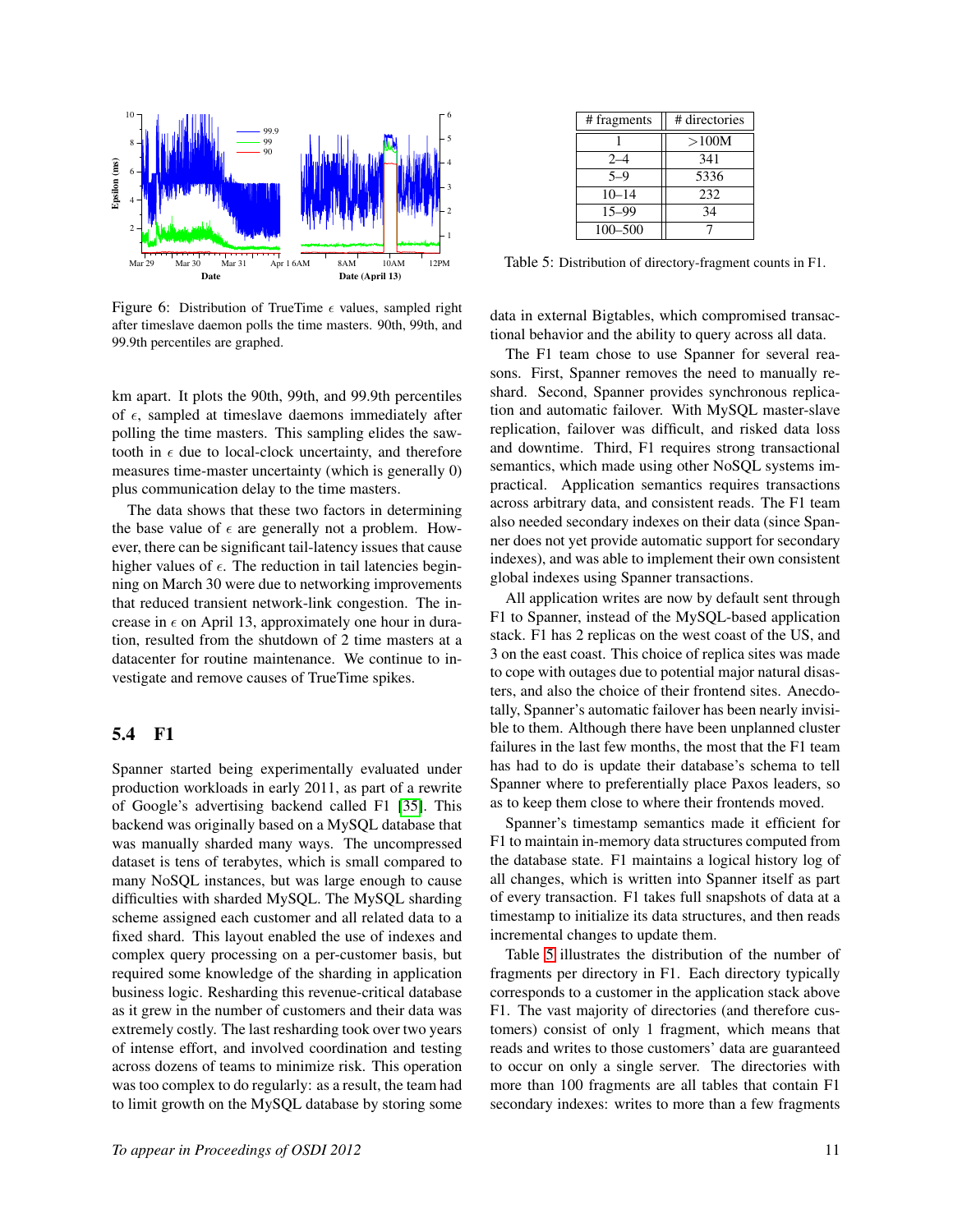

<span id="page-10-0"></span>Figure 6: Distribution of TrueTime  $\epsilon$  values, sampled right after timeslave daemon polls the time masters. 90th, 99th, and 99.9th percentiles are graphed.

km apart. It plots the 90th, 99th, and 99.9th percentiles of  $\epsilon$ , sampled at timeslave daemons immediately after polling the time masters. This sampling elides the sawtooth in  $\epsilon$  due to local-clock uncertainty, and therefore measures time-master uncertainty (which is generally 0) plus communication delay to the time masters.

The data shows that these two factors in determining the base value of  $\epsilon$  are generally not a problem. However, there can be significant tail-latency issues that cause higher values of  $\epsilon$ . The reduction in tail latencies beginning on March 30 were due to networking improvements that reduced transient network-link congestion. The increase in  $\epsilon$  on April 13, approximately one hour in duration, resulted from the shutdown of 2 time masters at a datacenter for routine maintenance. We continue to investigate and remove causes of TrueTime spikes.

# 5.4 F1

Spanner started being experimentally evaluated under production workloads in early 2011, as part of a rewrite of Google's advertising backend called F1 [\[35\]](#page-13-1). This backend was originally based on a MySQL database that was manually sharded many ways. The uncompressed dataset is tens of terabytes, which is small compared to many NoSQL instances, but was large enough to cause difficulties with sharded MySQL. The MySQL sharding scheme assigned each customer and all related data to a fixed shard. This layout enabled the use of indexes and complex query processing on a per-customer basis, but required some knowledge of the sharding in application business logic. Resharding this revenue-critical database as it grew in the number of customers and their data was extremely costly. The last resharding took over two years of intense effort, and involved coordination and testing across dozens of teams to minimize risk. This operation was too complex to do regularly: as a result, the team had to limit growth on the MySQL database by storing some

| # fragments | # directories |
|-------------|---------------|
|             | >100M         |
| $2 - 4$     | 341           |
| $5 - 9$     | 5336          |
| $10 - 14$   | 232           |
| $15 - 99$   | 34            |
| $100 - 500$ |               |

<span id="page-10-1"></span>Table 5: Distribution of directory-fragment counts in F1.

data in external Bigtables, which compromised transactional behavior and the ability to query across all data.

The F1 team chose to use Spanner for several reasons. First, Spanner removes the need to manually reshard. Second, Spanner provides synchronous replication and automatic failover. With MySQL master-slave replication, failover was difficult, and risked data loss and downtime. Third, F1 requires strong transactional semantics, which made using other NoSQL systems impractical. Application semantics requires transactions across arbitrary data, and consistent reads. The F1 team also needed secondary indexes on their data (since Spanner does not yet provide automatic support for secondary indexes), and was able to implement their own consistent global indexes using Spanner transactions.

All application writes are now by default sent through F1 to Spanner, instead of the MySQL-based application stack. F1 has 2 replicas on the west coast of the US, and 3 on the east coast. This choice of replica sites was made to cope with outages due to potential major natural disasters, and also the choice of their frontend sites. Anecdotally, Spanner's automatic failover has been nearly invisible to them. Although there have been unplanned cluster failures in the last few months, the most that the F1 team has had to do is update their database's schema to tell Spanner where to preferentially place Paxos leaders, so as to keep them close to where their frontends moved.

Spanner's timestamp semantics made it efficient for F1 to maintain in-memory data structures computed from the database state. F1 maintains a logical history log of all changes, which is written into Spanner itself as part of every transaction. F1 takes full snapshots of data at a timestamp to initialize its data structures, and then reads incremental changes to update them.

Table [5](#page-10-1) illustrates the distribution of the number of fragments per directory in F1. Each directory typically corresponds to a customer in the application stack above F1. The vast majority of directories (and therefore customers) consist of only 1 fragment, which means that reads and writes to those customers' data are guaranteed to occur on only a single server. The directories with more than 100 fragments are all tables that contain F1 secondary indexes: writes to more than a few fragments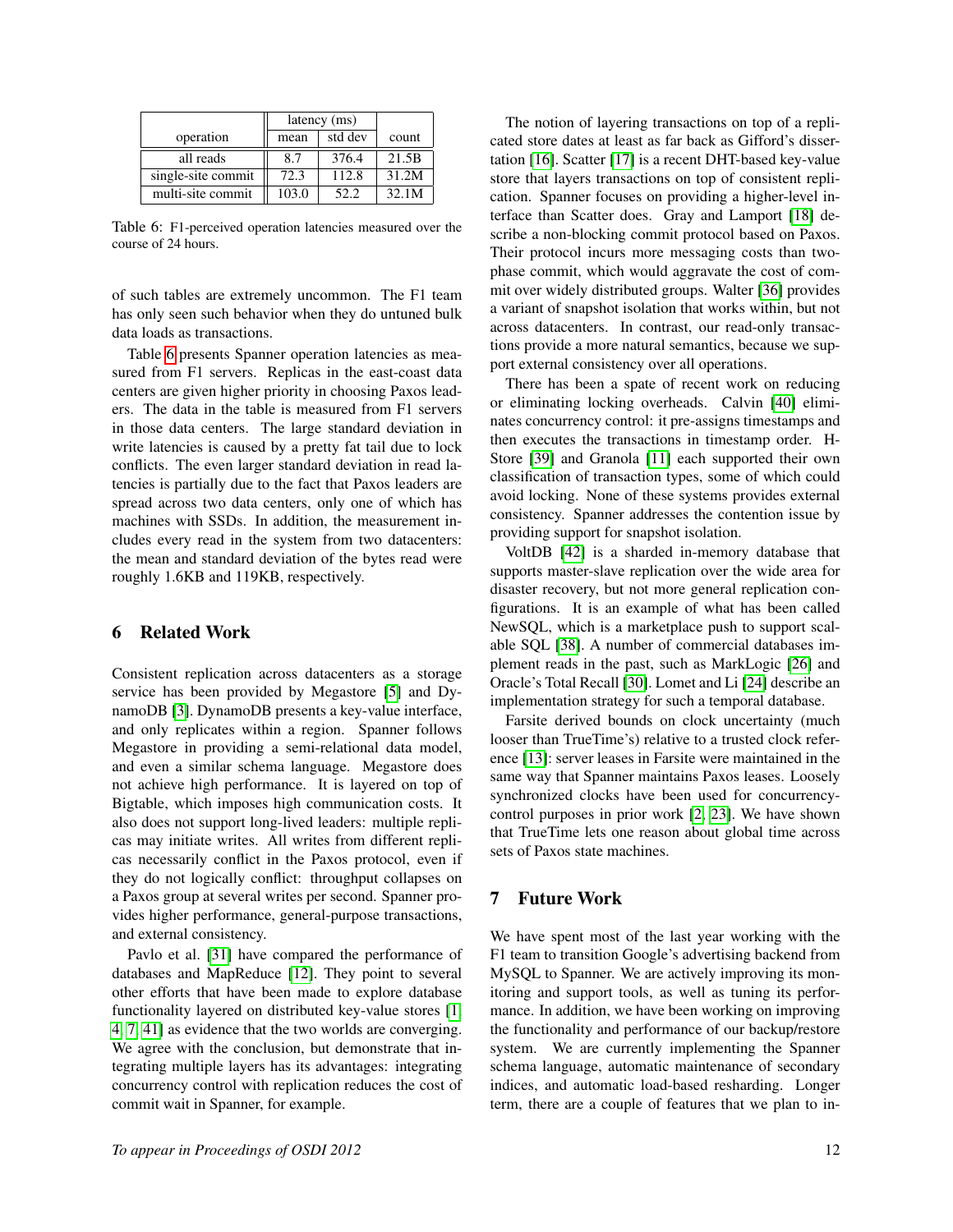|                    | latency (ms) |         |       |
|--------------------|--------------|---------|-------|
| operation          | mean         | std dev | count |
| all reads          | 8.7          | 376.4   | 21.5B |
| single-site commit | 72.3         | 112.8   | 31.2M |
| multi-site commit  | 103.0        | 52.2    | 32.1M |

<span id="page-11-2"></span>Table 6: F1-perceived operation latencies measured over the course of 24 hours.

of such tables are extremely uncommon. The F1 team has only seen such behavior when they do untuned bulk data loads as transactions.

Table [6](#page-11-2) presents Spanner operation latencies as measured from F1 servers. Replicas in the east-coast data centers are given higher priority in choosing Paxos leaders. The data in the table is measured from F1 servers in those data centers. The large standard deviation in write latencies is caused by a pretty fat tail due to lock conflicts. The even larger standard deviation in read latencies is partially due to the fact that Paxos leaders are spread across two data centers, only one of which has machines with SSDs. In addition, the measurement includes every read in the system from two datacenters: the mean and standard deviation of the bytes read were roughly 1.6KB and 119KB, respectively.

# <span id="page-11-0"></span>6 Related Work

Consistent replication across datacenters as a storage service has been provided by Megastore [\[5\]](#page-12-1) and DynamoDB [\[3\]](#page-12-6). DynamoDB presents a key-value interface, and only replicates within a region. Spanner follows Megastore in providing a semi-relational data model, and even a similar schema language. Megastore does not achieve high performance. It is layered on top of Bigtable, which imposes high communication costs. It also does not support long-lived leaders: multiple replicas may initiate writes. All writes from different replicas necessarily conflict in the Paxos protocol, even if they do not logically conflict: throughput collapses on a Paxos group at several writes per second. Spanner provides higher performance, general-purpose transactions, and external consistency.

Pavlo et al. [\[31\]](#page-13-16) have compared the performance of databases and MapReduce [\[12\]](#page-13-4). They point to several other efforts that have been made to explore database functionality layered on distributed key-value stores [\[1,](#page-12-7) [4,](#page-12-8) [7,](#page-12-9) [41\]](#page-13-17) as evidence that the two worlds are converging. We agree with the conclusion, but demonstrate that integrating multiple layers has its advantages: integrating concurrency control with replication reduces the cost of commit wait in Spanner, for example.

The notion of layering transactions on top of a replicated store dates at least as far back as Gifford's dissertation [\[16\]](#page-13-3). Scatter [\[17\]](#page-13-18) is a recent DHT-based key-value store that layers transactions on top of consistent replication. Spanner focuses on providing a higher-level interface than Scatter does. Gray and Lamport [\[18\]](#page-13-19) describe a non-blocking commit protocol based on Paxos. Their protocol incurs more messaging costs than twophase commit, which would aggravate the cost of commit over widely distributed groups. Walter [\[36\]](#page-13-20) provides a variant of snapshot isolation that works within, but not across datacenters. In contrast, our read-only transactions provide a more natural semantics, because we support external consistency over all operations.

There has been a spate of recent work on reducing or eliminating locking overheads. Calvin [\[40\]](#page-13-21) eliminates concurrency control: it pre-assigns timestamps and then executes the transactions in timestamp order. H-Store [\[39\]](#page-13-22) and Granola [\[11\]](#page-12-10) each supported their own classification of transaction types, some of which could avoid locking. None of these systems provides external consistency. Spanner addresses the contention issue by providing support for snapshot isolation.

VoltDB [\[42\]](#page-13-23) is a sharded in-memory database that supports master-slave replication over the wide area for disaster recovery, but not more general replication configurations. It is an example of what has been called NewSQL, which is a marketplace push to support scalable SQL [\[38\]](#page-13-24). A number of commercial databases implement reads in the past, such as MarkLogic [\[26\]](#page-13-25) and Oracle's Total Recall [\[30\]](#page-13-26). Lomet and Li [\[24\]](#page-13-27) describe an implementation strategy for such a temporal database.

Farsite derived bounds on clock uncertainty (much looser than TrueTime's) relative to a trusted clock reference [\[13\]](#page-13-28): server leases in Farsite were maintained in the same way that Spanner maintains Paxos leases. Loosely synchronized clocks have been used for concurrencycontrol purposes in prior work [\[2,](#page-12-11) [23\]](#page-13-29). We have shown that TrueTime lets one reason about global time across sets of Paxos state machines.

# <span id="page-11-1"></span>7 Future Work

We have spent most of the last year working with the F1 team to transition Google's advertising backend from MySQL to Spanner. We are actively improving its monitoring and support tools, as well as tuning its performance. In addition, we have been working on improving the functionality and performance of our backup/restore system. We are currently implementing the Spanner schema language, automatic maintenance of secondary indices, and automatic load-based resharding. Longer term, there are a couple of features that we plan to in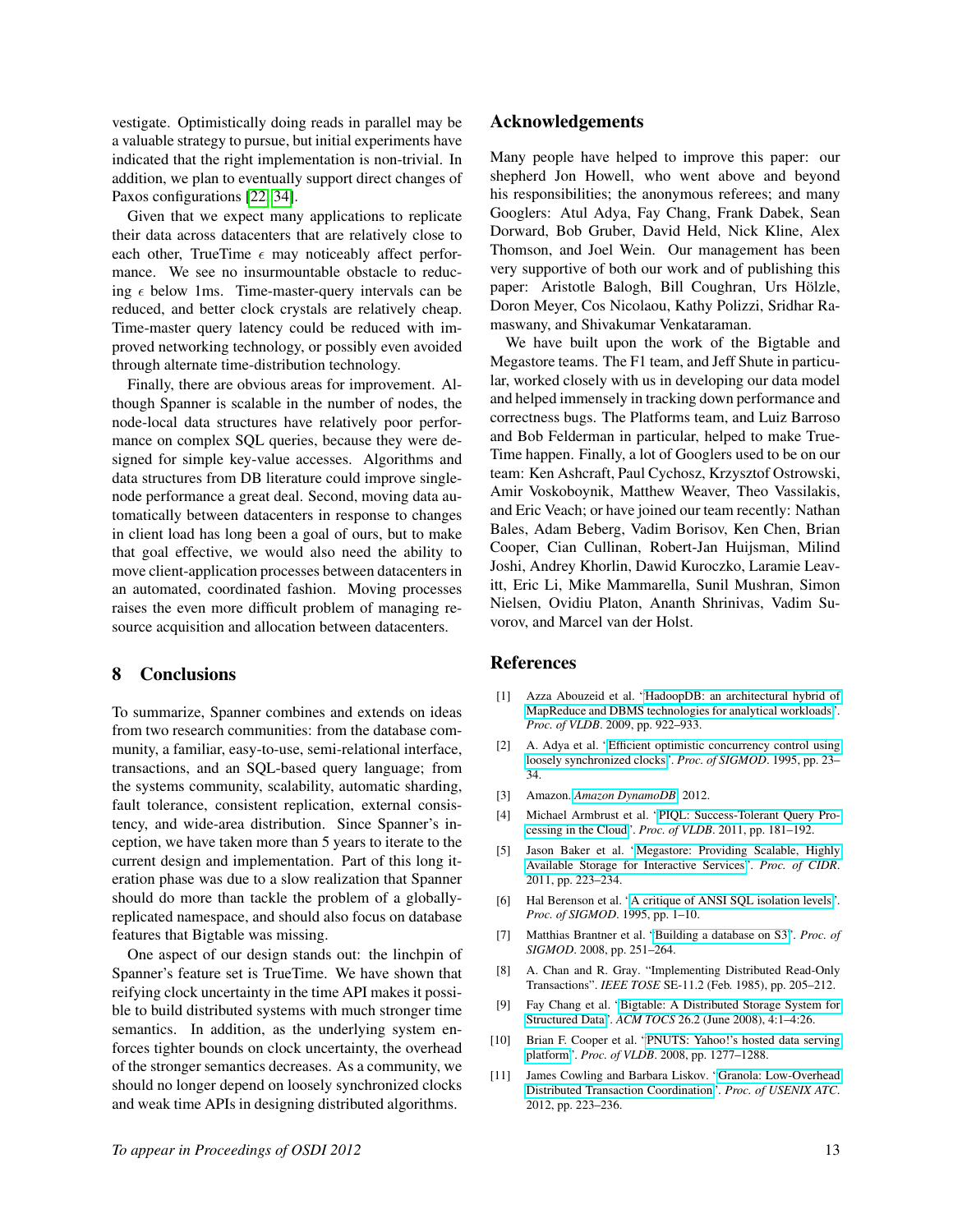vestigate. Optimistically doing reads in parallel may be a valuable strategy to pursue, but initial experiments have indicated that the right implementation is non-trivial. In addition, we plan to eventually support direct changes of Paxos configurations [\[22,](#page-13-30) [34\]](#page-13-31).

Given that we expect many applications to replicate their data across datacenters that are relatively close to each other, TrueTime  $\epsilon$  may noticeably affect performance. We see no insurmountable obstacle to reducing  $\epsilon$  below 1ms. Time-master-query intervals can be reduced, and better clock crystals are relatively cheap. Time-master query latency could be reduced with improved networking technology, or possibly even avoided through alternate time-distribution technology.

Finally, there are obvious areas for improvement. Although Spanner is scalable in the number of nodes, the node-local data structures have relatively poor performance on complex SQL queries, because they were designed for simple key-value accesses. Algorithms and data structures from DB literature could improve singlenode performance a great deal. Second, moving data automatically between datacenters in response to changes in client load has long been a goal of ours, but to make that goal effective, we would also need the ability to move client-application processes between datacenters in an automated, coordinated fashion. Moving processes raises the even more difficult problem of managing resource acquisition and allocation between datacenters.

# <span id="page-12-2"></span>8 Conclusions

To summarize, Spanner combines and extends on ideas from two research communities: from the database community, a familiar, easy-to-use, semi-relational interface, transactions, and an SQL-based query language; from the systems community, scalability, automatic sharding, fault tolerance, consistent replication, external consistency, and wide-area distribution. Since Spanner's inception, we have taken more than 5 years to iterate to the current design and implementation. Part of this long iteration phase was due to a slow realization that Spanner should do more than tackle the problem of a globallyreplicated namespace, and should also focus on database features that Bigtable was missing.

One aspect of our design stands out: the linchpin of Spanner's feature set is TrueTime. We have shown that reifying clock uncertainty in the time API makes it possible to build distributed systems with much stronger time semantics. In addition, as the underlying system enforces tighter bounds on clock uncertainty, the overhead of the stronger semantics decreases. As a community, we should no longer depend on loosely synchronized clocks and weak time APIs in designing distributed algorithms.

### Acknowledgements

Many people have helped to improve this paper: our shepherd Jon Howell, who went above and beyond his responsibilities; the anonymous referees; and many Googlers: Atul Adya, Fay Chang, Frank Dabek, Sean Dorward, Bob Gruber, David Held, Nick Kline, Alex Thomson, and Joel Wein. Our management has been very supportive of both our work and of publishing this paper: Aristotle Balogh, Bill Coughran, Urs Hölzle, Doron Meyer, Cos Nicolaou, Kathy Polizzi, Sridhar Ramaswany, and Shivakumar Venkataraman.

We have built upon the work of the Bigtable and Megastore teams. The F1 team, and Jeff Shute in particular, worked closely with us in developing our data model and helped immensely in tracking down performance and correctness bugs. The Platforms team, and Luiz Barroso and Bob Felderman in particular, helped to make True-Time happen. Finally, a lot of Googlers used to be on our team: Ken Ashcraft, Paul Cychosz, Krzysztof Ostrowski, Amir Voskoboynik, Matthew Weaver, Theo Vassilakis, and Eric Veach; or have joined our team recently: Nathan Bales, Adam Beberg, Vadim Borisov, Ken Chen, Brian Cooper, Cian Cullinan, Robert-Jan Huijsman, Milind Joshi, Andrey Khorlin, Dawid Kuroczko, Laramie Leavitt, Eric Li, Mike Mammarella, Sunil Mushran, Simon Nielsen, Ovidiu Platon, Ananth Shrinivas, Vadim Suvorov, and Marcel van der Holst.

#### References

- <span id="page-12-7"></span>[1] Azza Abouzeid et al. ["HadoopDB: an architectural hybrid of](http://dl.acm.org/citation.cfm?id=1687627.1687731) [MapReduce and DBMS technologies for analytical workloads"](http://dl.acm.org/citation.cfm?id=1687627.1687731). *Proc. of VLDB*. 2009, pp. 922–933.
- <span id="page-12-11"></span>[2] A. Adya et al. ["Efficient optimistic concurrency control using](http://doi.acm.org/10.1145/223784.223787) [loosely synchronized clocks"](http://doi.acm.org/10.1145/223784.223787). *Proc. of SIGMOD*. 1995, pp. 23– 34.
- <span id="page-12-6"></span>[3] Amazon. *[Amazon DynamoDB](http://aws.amazon.com/dynamodb)*. 2012.
- <span id="page-12-8"></span>[4] Michael Armbrust et al. ["PIQL: Success-Tolerant Query Pro](http://dl.acm.org/citation.cfm?id=2078331.2078334)[cessing in the Cloud"](http://dl.acm.org/citation.cfm?id=2078331.2078334). *Proc. of VLDB*. 2011, pp. 181–192.
- <span id="page-12-1"></span>[5] Jason Baker et al. ["Megastore: Providing Scalable, Highly](http://www.cidrdb.org/cidr2011/Papers/CIDR11_Paper32.pdf) [Available Storage for Interactive Services"](http://www.cidrdb.org/cidr2011/Papers/CIDR11_Paper32.pdf). *Proc. of CIDR*. 2011, pp. 223–234.
- <span id="page-12-4"></span>[6] Hal Berenson et al. ["A critique of ANSI SQL isolation levels"](http://doi.acm.org/10.1145/223784.223785). *Proc. of SIGMOD*. 1995, pp. 1–10.
- <span id="page-12-9"></span>[7] Matthias Brantner et al. ["Building a database on S3"](http://doi.acm.org/10.1145/1376616.1376645). *Proc. of SIGMOD*. 2008, pp. 251–264.
- <span id="page-12-5"></span>[8] A. Chan and R. Gray. "Implementing Distributed Read-Only Transactions". *IEEE TOSE* SE-11.2 (Feb. 1985), pp. 205–212.
- <span id="page-12-0"></span>[9] Fay Chang et al. ["Bigtable: A Distributed Storage System for](http://dl.acm.org/citation.cfm?id=1267323) [Structured Data"](http://dl.acm.org/citation.cfm?id=1267323). *ACM TOCS* 26.2 (June 2008), 4:1–4:26.
- <span id="page-12-3"></span>[10] Brian F. Cooper et al. ["PNUTS: Yahoo!'s hosted data serving](http://doi.acm.org//10.1145/1454159.1454167) [platform"](http://doi.acm.org//10.1145/1454159.1454167). *Proc. of VLDB*. 2008, pp. 1277–1288.
- <span id="page-12-10"></span>[11] James Cowling and Barbara Liskov. ["Granola: Low-Overhead](https://www.usenix.org/system/files/conference/atc12/atc12-final118.pdf) [Distributed Transaction Coordination"](https://www.usenix.org/system/files/conference/atc12/atc12-final118.pdf). *Proc. of USENIX ATC*. 2012, pp. 223–236.